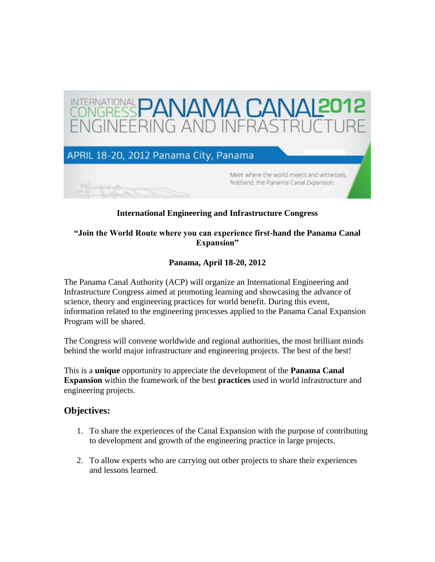

### **International Engineering and Infrastructure Congress**

#### **"Join the World Route where you can experience first-hand the Panama Canal Expansion"**

### **Panama, April 18-20, 2012**

The Panama Canal Authority (ACP) will organize an International Engineering and Infrastructure Congress aimed at promoting learning and showcasing the advance of science, theory and engineering practices for world benefit. During this event, information related to the engineering processes applied to the Panama Canal Expansion Program will be shared.

The Congress will convene worldwide and regional authorities, the most brilliant minds behind the world major infrastructure and engineering projects. The best of the best!

This is a **unique** opportunity to appreciate the development of the **Panama Canal Expansion** within the framework of the best **practices** used in world infrastructure and engineering projects.

#### **Objectives:**

- 1. To share the experiences of the Canal Expansion with the purpose of contributing to development and growth of the engineering practice in large projects.
- 2. To allow experts who are carrying out other projects to share their experiences and lessons learned.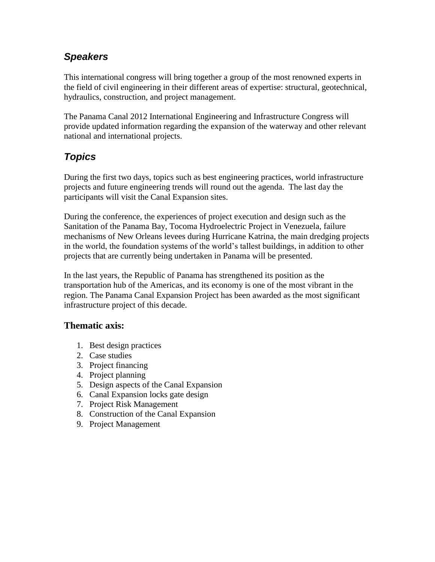# *Speakers*

This international congress will bring together a group of the most renowned experts in the field of civil engineering in their different areas of expertise: structural, geotechnical, hydraulics, construction, and project management.

The Panama Canal 2012 International Engineering and Infrastructure Congress will provide updated information regarding the expansion of the waterway and other relevant national and international projects.

# *Topics*

During the first two days, topics such as best engineering practices, world infrastructure projects and future engineering trends will round out the agenda. The last day the participants will visit the Canal Expansion sites.

During the conference, the experiences of project execution and design such as the Sanitation of the Panama Bay, Tocoma Hydroelectric Project in Venezuela, failure mechanisms of New Orleans levees during Hurricane Katrina, the main dredging projects in the world, the foundation systems of the world's tallest buildings, in addition to other projects that are currently being undertaken in Panama will be presented.

In the last years, the Republic of Panama has strengthened its position as the transportation hub of the Americas, and its economy is one of the most vibrant in the region. The Panama Canal Expansion Project has been awarded as the most significant infrastructure project of this decade.

### **Thematic axis:**

- 1. Best design practices
- 2. Case studies
- 3. Project financing
- 4. Project planning
- 5. Design aspects of the Canal Expansion
- 6. Canal Expansion locks gate design
- 7. Project Risk Management
- 8. Construction of the Canal Expansion
- 9. Project Management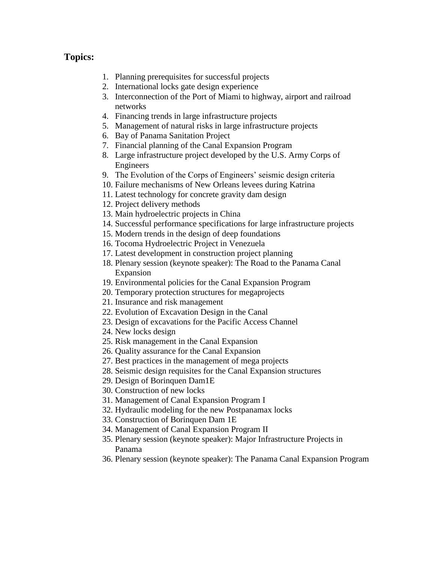### **Topics:**

- 1. Planning prerequisites for successful projects
- 2. International locks gate design experience
- 3. Interconnection of the Port of Miami to highway, airport and railroad networks
- 4. Financing trends in large infrastructure projects
- 5. Management of natural risks in large infrastructure projects
- 6. Bay of Panama Sanitation Project
- 7. Financial planning of the Canal Expansion Program
- 8. Large infrastructure project developed by the U.S. Army Corps of Engineers
- 9. The Evolution of the Corps of Engineers' seismic design criteria
- 10. Failure mechanisms of New Orleans levees during Katrina
- 11. Latest technology for concrete gravity dam design
- 12. Project delivery methods
- 13. Main hydroelectric projects in China
- 14. Successful performance specifications for large infrastructure projects
- 15. Modern trends in the design of deep foundations
- 16. Tocoma Hydroelectric Project in Venezuela
- 17. Latest development in construction project planning
- 18. Plenary session (keynote speaker): The Road to the Panama Canal Expansion
- 19. Environmental policies for the Canal Expansion Program
- 20. Temporary protection structures for megaprojects
- 21. Insurance and risk management
- 22. Evolution of Excavation Design in the Canal
- 23. Design of excavations for the Pacific Access Channel
- 24. New locks design
- 25. Risk management in the Canal Expansion
- 26. Quality assurance for the Canal Expansion
- 27. Best practices in the management of mega projects
- 28. Seismic design requisites for the Canal Expansion structures
- 29. Design of Borinquen Dam1E
- 30. Construction of new locks
- 31. Management of Canal Expansion Program I
- 32. Hydraulic modeling for the new Postpanamax locks
- 33. Construction of Borinquen Dam 1E
- 34. Management of Canal Expansion Program II
- 35. Plenary session (keynote speaker): Major Infrastructure Projects in Panama
- 36. Plenary session (keynote speaker): The Panama Canal Expansion Program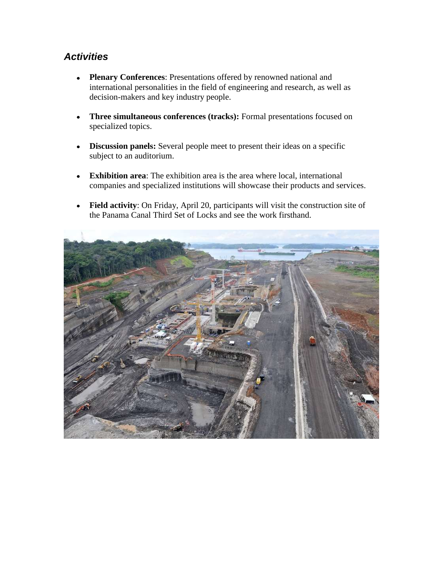# *Activities*

- **Plenary Conferences**: Presentations offered by renowned national and international personalities in the field of engineering and research, as well as decision-makers and key industry people.
- **Three simultaneous conferences (tracks):** Formal presentations focused on  $\bullet$ specialized topics.
- **Discussion panels:** Several people meet to present their ideas on a specific  $\bullet$ subject to an auditorium.
- **Exhibition area**: The exhibition area is the area where local, international  $\bullet$ companies and specialized institutions will showcase their products and services.
- **Field activity**: On Friday, April 20, participants will visit the construction site of the Panama Canal Third Set of Locks and see the work firsthand.

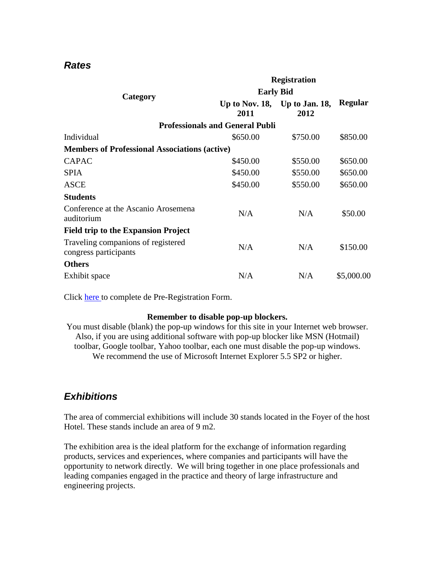## *Rates*

| Category                                                    | <b>Registration</b>                    |                                       |                |
|-------------------------------------------------------------|----------------------------------------|---------------------------------------|----------------|
|                                                             | <b>Early Bid</b>                       |                                       |                |
|                                                             | 2011                                   | Up to Nov. 18, Up to Jan. 18,<br>2012 | <b>Regular</b> |
|                                                             | <b>Professionals and General Publi</b> |                                       |                |
| Individual                                                  | \$650.00                               | \$750.00                              | \$850.00       |
| <b>Members of Professional Associations (active)</b>        |                                        |                                       |                |
| <b>CAPAC</b>                                                | \$450.00                               | \$550.00                              | \$650.00       |
| <b>SPIA</b>                                                 | \$450.00                               | \$550.00                              | \$650.00       |
| <b>ASCE</b>                                                 | \$450.00                               | \$550.00                              | \$650.00       |
| <b>Students</b>                                             |                                        |                                       |                |
| Conference at the Ascanio Arosemena<br>auditorium           | N/A                                    | N/A                                   | \$50.00        |
| <b>Field trip to the Expansion Project</b>                  |                                        |                                       |                |
| Traveling companions of registered<br>congress participants | N/A                                    | N/A                                   | \$150.00       |
| <b>Others</b>                                               |                                        |                                       |                |
| Exhibit space                                               | N/A                                    | N/A                                   | \$5,000.00     |

Click [here t](https://apps.pancanal.com/pls/inscripcion_inter/congreso_registro.inicio)o complete de Pre-Registration Form.

#### **Remember to disable pop-up blockers.**

You must disable (blank) the pop-up windows for this site in your Internet web browser. Also, if you are using additional software with pop-up blocker like MSN (Hotmail) toolbar, Google toolbar, Yahoo toolbar, each one must disable the pop-up windows. We recommend the use of Microsoft Internet Explorer 5.5 SP2 or higher.

## *Exhibitions*

The area of commercial exhibitions will include 30 stands located in the Foyer of the host Hotel. These stands include an area of 9 m2.

The exhibition area is the ideal platform for the exchange of information regarding products, services and experiences, where companies and participants will have the opportunity to network directly. We will bring together in one place professionals and leading companies engaged in the practice and theory of large infrastructure and engineering projects.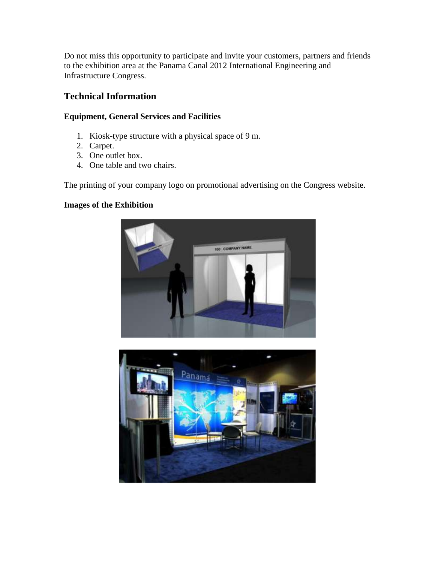Do not miss this opportunity to participate and invite your customers, partners and friends to the exhibition area at the Panama Canal 2012 International Engineering and Infrastructure Congress.

## **Technical Information**

#### **Equipment, General Services and Facilities**

- 1. Kiosk-type structure with a physical space of 9 m.
- 2. Carpet.
- 3. One outlet box.
- 4. One table and two chairs.

The printing of your company logo on promotional advertising on the Congress website.

#### **Images of the Exhibition**



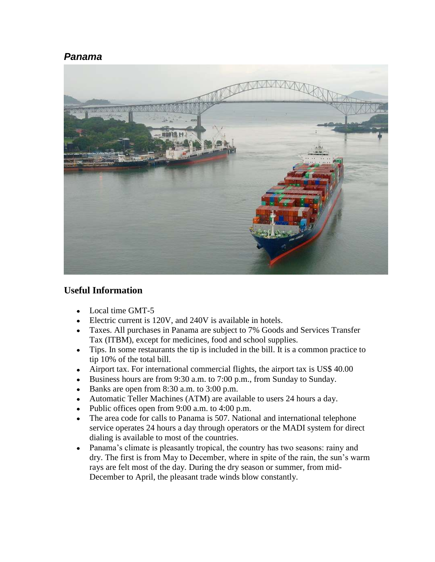### *Panama*



### **Useful Information**

- Local time GMT-5
- Electric current is 120V, and 240V is available in hotels.
- Taxes. All purchases in Panama are subject to 7% Goods and Services Transfer Tax (ITBM), except for medicines, food and school supplies.
- Tips. In some restaurants the tip is included in the bill. It is a common practice to tip 10% of the total bill.
- Airport tax. For international commercial flights, the airport tax is US\$ 40.00
- Business hours are from 9:30 a.m. to 7:00 p.m., from Sunday to Sunday.
- Banks are open from  $8:30$  a.m. to  $3:00$  p.m.
- Automatic Teller Machines (ATM) are available to users 24 hours a day.
- Public offices open from 9:00 a.m. to 4:00 p.m.  $\bullet$
- The area code for calls to Panama is 507. National and international telephone  $\bullet$ service operates 24 hours a day through operators or the MADI system for direct dialing is available to most of the countries.
- Panama's climate is pleasantly tropical, the country has two seasons: rainy and  $\bullet$ dry. The first is from May to December, where in spite of the rain, the sun's warm rays are felt most of the day. During the dry season or summer, from mid-December to April, the pleasant trade winds blow constantly.